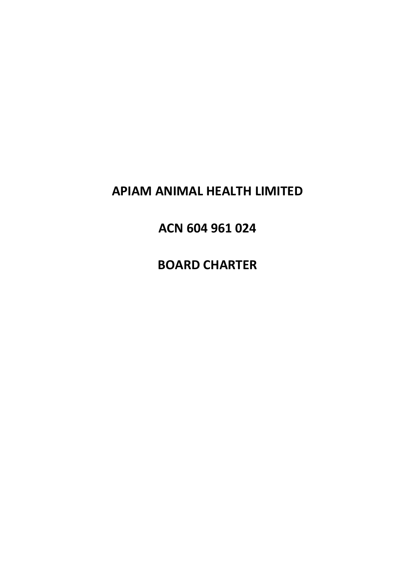# APIAM ANIMAL HEALTH LIMITED

# ACN 604 961 024

**BOARD CHARTER**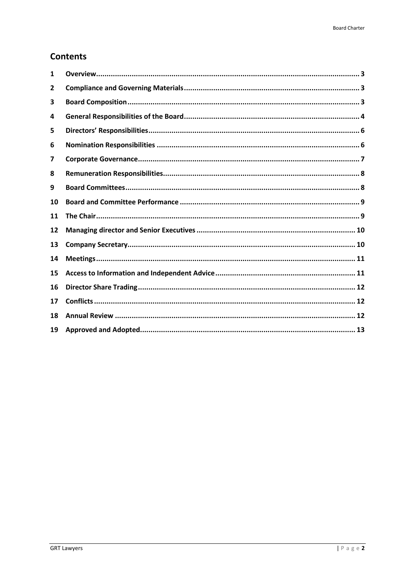# **Contents**

| 1            |  |
|--------------|--|
| $\mathbf{2}$ |  |
| 3            |  |
| 4            |  |
| 5            |  |
| 6            |  |
| 7            |  |
| 8            |  |
| 9            |  |
| 10           |  |
| 11           |  |
| 12           |  |
| 13           |  |
| 14           |  |
| 15           |  |
| 16           |  |
| 17           |  |
| 18           |  |
| 19           |  |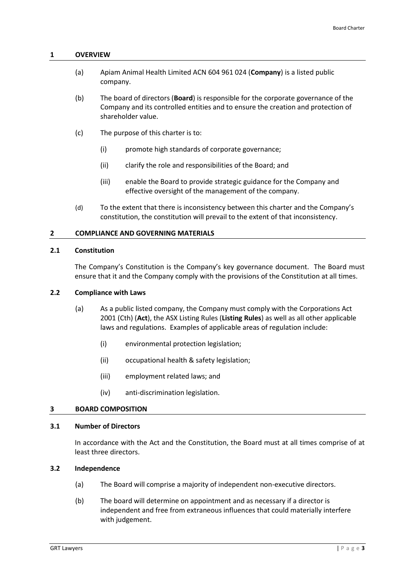#### <span id="page-2-0"></span>**1 OVERVIEW**

- (a) Apiam Animal Health Limited ACN 604 961 024 (**Company**) is a listed public company.
- (b) The board of directors (**Board**) is responsible for the corporate governance of the Company and its controlled entities and to ensure the creation and protection of shareholder value.
- (c) The purpose of this charter is to:
	- (i) promote high standards of corporate governance;
	- (ii) clarify the role and responsibilities of the Board; and
	- (iii) enable the Board to provide strategic guidance for the Company and effective oversight of the management of the company.
- (d) To the extent that there is inconsistency between this charter and the Company's constitution, the constitution will prevail to the extent of that inconsistency.

# <span id="page-2-1"></span>**2 COMPLIANCE AND GOVERNING MATERIALS**

## **2.1 Constitution**

The Company's Constitution is the Company's key governance document. The Board must ensure that it and the Company comply with the provisions of the Constitution at all times.

# **2.2 Compliance with Laws**

- (a) As a public listed company, the Company must comply with the Corporations Act 2001 (Cth) (**Act**), the ASX Listing Rules (**Listing Rules**) as well as all other applicable laws and regulations. Examples of applicable areas of regulation include:
	- (i) environmental protection legislation;
	- (ii) occupational health & safety legislation;
	- (iii) employment related laws; and
	- (iv) anti-discrimination legislation.

# <span id="page-2-2"></span>**3 BOARD COMPOSITION**

#### **3.1 Number of Directors**

In accordance with the Act and the Constitution, the Board must at all times comprise of at least three directors.

# **3.2 Independence**

- (a) The Board will comprise a majority of independent non-executive directors.
- (b) The board will determine on appointment and as necessary if a director is independent and free from extraneous influences that could materially interfere with judgement.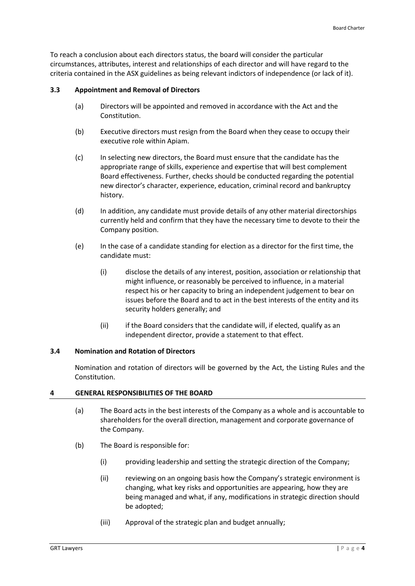To reach a conclusion about each directors status, the board will consider the particular circumstances, attributes, interest and relationships of each director and will have regard to the criteria contained in the ASX guidelines as being relevant indictors of independence (or lack of it).

# **3.3 Appointment and Removal of Directors**

- (a) Directors will be appointed and removed in accordance with the Act and the Constitution.
- (b) Executive directors must resign from the Board when they cease to occupy their executive role within Apiam.
- (c) In selecting new directors, the Board must ensure that the candidate has the appropriate range of skills, experience and expertise that will best complement Board effectiveness. Further, checks should be conducted regarding the potential new director's character, experience, education, criminal record and bankruptcy history.
- (d) In addition, any candidate must provide details of any other material directorships currently held and confirm that they have the necessary time to devote to their the Company position.
- (e) In the case of a candidate standing for election as a director for the first time, the candidate must:
	- (i) disclose the details of any interest, position, association or relationship that might influence, or reasonably be perceived to influence, in a material respect his or her capacity to bring an independent judgement to bear on issues before the Board and to act in the best interests of the entity and its security holders generally; and
	- (ii) if the Board considers that the candidate will, if elected, qualify as an independent director, provide a statement to that effect.

# **3.4 Nomination and Rotation of Directors**

Nomination and rotation of directors will be governed by the Act, the Listing Rules and the Constitution.

# <span id="page-3-0"></span>**4 GENERAL RESPONSIBILITIES OF THE BOARD**

- (a) The Board acts in the best interests of the Company as a whole and is accountable to shareholders for the overall direction, management and corporate governance of the Company.
- (b) The Board is responsible for:
	- (i) providing leadership and setting the strategic direction of the Company;
	- (ii) reviewing on an ongoing basis how the Company's strategic environment is changing, what key risks and opportunities are appearing, how they are being managed and what, if any, modifications in strategic direction should be adopted;
	- (iii) Approval of the strategic plan and budget annually;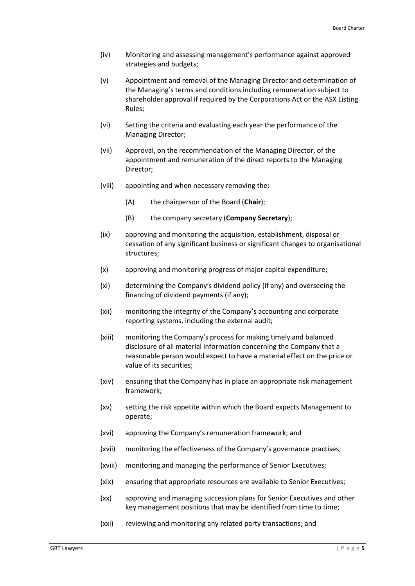- (iv) Monitoring and assessing management's performance against approved strategies and budgets;
- (v) Appointment and removal of the Managing Director and determination of the Managing's terms and conditions including remuneration subject to shareholder approval if required by the Corporations Act or the ASX Listing Rules;
- (vi) Setting the criteria and evaluating each year the performance of the Managing Director;
- (vii) Approval, on the recommendation of the Managing Director, of the appointment and remuneration of the direct reports to the Managing Director;
- (viii) appointing and when necessary removing the:
	- (A) the chairperson of the Board (**Chair**);
	- (B) the company secretary (**Company Secretary**);
- (ix) approving and monitoring the acquisition, establishment, disposal or cessation of any significant business or significant changes to organisational structures;
- (x) approving and monitoring progress of major capital expenditure;
- (xi) determining the Company's dividend policy (if any) and overseeing the financing of dividend payments (if any);
- (xii) monitoring the integrity of the Company's accounting and corporate reporting systems, including the external audit;
- (xiii) monitoring the Company's process for making timely and balanced disclosure of all material information concerning the Company that a reasonable person would expect to have a material effect on the price or value of its securities;
- (xiv) ensuring that the Company has in place an appropriate risk management framework;
- (xv) setting the risk appetite within which the Board expects Management to operate;
- (xvi) approving the Company's remuneration framework; and
- (xvii) monitoring the effectiveness of the Company's governance practises;
- (xviii) monitoring and managing the performance of Senior Executives;
- (xix) ensuring that appropriate resources are available to Senior Executives;
- (xx) approving and managing succession plans for Senior Executives and other key management positions that may be identified from time to time;
- (xxi) reviewing and monitoring any related party transactions; and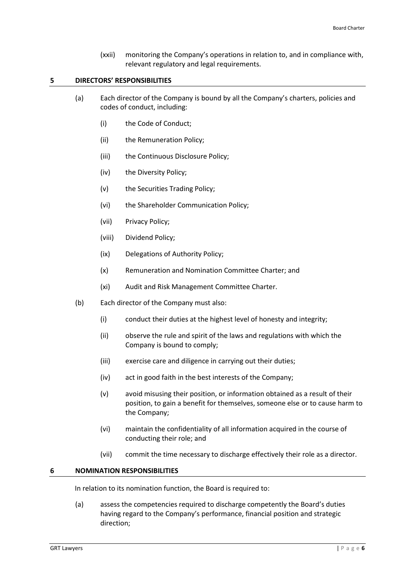(xxii) monitoring the Company's operations in relation to, and in compliance with, relevant regulatory and legal requirements.

# <span id="page-5-0"></span>**5 DIRECTORS' RESPONSIBILITIES**

- (a) Each director of the Company is bound by all the Company's charters, policies and codes of conduct, including:
	- (i) the Code of Conduct;
	- (ii) the Remuneration Policy;
	- (iii) the Continuous Disclosure Policy;
	- (iv) the Diversity Policy;
	- (v) the Securities Trading Policy;
	- (vi) the Shareholder Communication Policy;
	- (vii) Privacy Policy;
	- (viii) Dividend Policy;
	- (ix) Delegations of Authority Policy;
	- (x) Remuneration and Nomination Committee Charter; and
	- (xi) Audit and Risk Management Committee Charter.
- (b) Each director of the Company must also:
	- (i) conduct their duties at the highest level of honesty and integrity;
	- (ii) observe the rule and spirit of the laws and regulations with which the Company is bound to comply;
	- (iii) exercise care and diligence in carrying out their duties;
	- (iv) act in good faith in the best interests of the Company;
	- (v) avoid misusing their position, or information obtained as a result of their position, to gain a benefit for themselves, someone else or to cause harm to the Company;
	- (vi) maintain the confidentiality of all information acquired in the course of conducting their role; and
	- (vii) commit the time necessary to discharge effectively their role as a director.

#### <span id="page-5-1"></span>**6 NOMINATION RESPONSIBILITIES**

In relation to its nomination function, the Board is required to:

(a) assess the competencies required to discharge competently the Board's duties having regard to the Company's performance, financial position and strategic direction;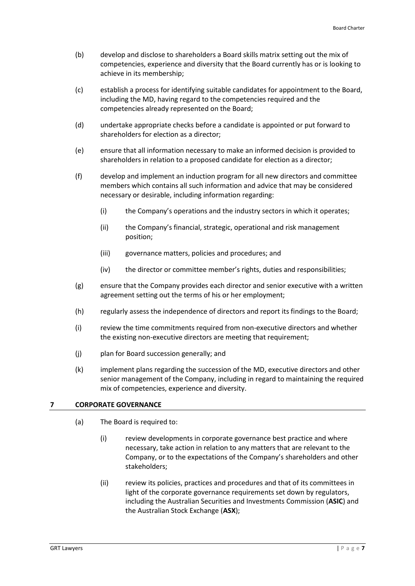- (b) develop and disclose to shareholders a Board skills matrix setting out the mix of competencies, experience and diversity that the Board currently has or is looking to achieve in its membership;
- (c) establish a process for identifying suitable candidates for appointment to the Board, including the MD, having regard to the competencies required and the competencies already represented on the Board;
- (d) undertake appropriate checks before a candidate is appointed or put forward to shareholders for election as a director;
- (e) ensure that all information necessary to make an informed decision is provided to shareholders in relation to a proposed candidate for election as a director;
- (f) develop and implement an induction program for all new directors and committee members which contains all such information and advice that may be considered necessary or desirable, including information regarding:
	- (i) the Company's operations and the industry sectors in which it operates;
	- (ii) the Company's financial, strategic, operational and risk management position;
	- (iii) governance matters, policies and procedures; and
	- (iv) the director or committee member's rights, duties and responsibilities;
- (g) ensure that the Company provides each director and senior executive with a written agreement setting out the terms of his or her employment;
- (h) regularly assess the independence of directors and report its findings to the Board;
- (i) review the time commitments required from non-executive directors and whether the existing non-executive directors are meeting that requirement;
- (j) plan for Board succession generally; and
- (k) implement plans regarding the succession of the MD, executive directors and other senior management of the Company, including in regard to maintaining the required mix of competencies, experience and diversity.

# <span id="page-6-0"></span>**7 CORPORATE GOVERNANCE**

- (a) The Board is required to:
	- (i) review developments in corporate governance best practice and where necessary, take action in relation to any matters that are relevant to the Company, or to the expectations of the Company's shareholders and other stakeholders;
	- (ii) review its policies, practices and procedures and that of its committees in light of the corporate governance requirements set down by regulators, including the Australian Securities and Investments Commission (**ASIC**) and the Australian Stock Exchange (**ASX**);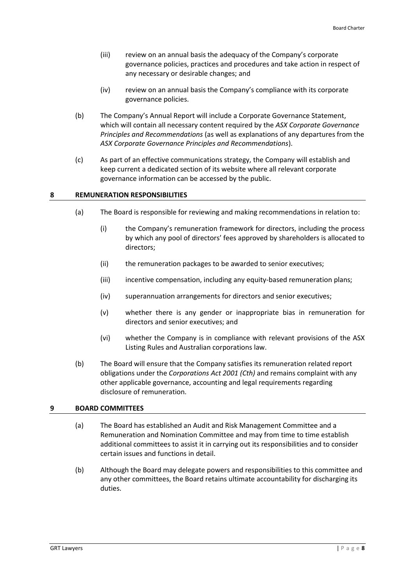- (iii) review on an annual basis the adequacy of the Company's corporate governance policies, practices and procedures and take action in respect of any necessary or desirable changes; and
- (iv) review on an annual basis the Company's compliance with its corporate governance policies.
- (b) The Company's Annual Report will include a Corporate Governance Statement, which will contain all necessary content required by the *ASX Corporate Governance Principles and Recommendations* (as well as explanations of any departures from the *ASX Corporate Governance Principles and Recommendations*).
- (c) As part of an effective communications strategy, the Company will establish and keep current a dedicated section of its website where all relevant corporate governance information can be accessed by the public.

# <span id="page-7-0"></span>**8 REMUNERATION RESPONSIBILITIES**

- (a) The Board is responsible for reviewing and making recommendations in relation to:
	- (i) the Company's remuneration framework for directors, including the process by which any pool of directors' fees approved by shareholders is allocated to directors;
	- (ii) the remuneration packages to be awarded to senior executives;
	- (iii) incentive compensation, including any equity-based remuneration plans;
	- (iv) superannuation arrangements for directors and senior executives;
	- (v) whether there is any gender or inappropriate bias in remuneration for directors and senior executives; and
	- (vi) whether the Company is in compliance with relevant provisions of the ASX Listing Rules and Australian corporations law.
- (b) The Board will ensure that the Company satisfies its remuneration related report obligations under the *Corporations Act 2001 (Cth)* and remains complaint with any other applicable governance, accounting and legal requirements regarding disclosure of remuneration.

# <span id="page-7-1"></span>**9 BOARD COMMITTEES**

- (a) The Board has established an Audit and Risk Management Committee and a Remuneration and Nomination Committee and may from time to time establish additional committees to assist it in carrying out its responsibilities and to consider certain issues and functions in detail.
- (b) Although the Board may delegate powers and responsibilities to this committee and any other committees, the Board retains ultimate accountability for discharging its duties.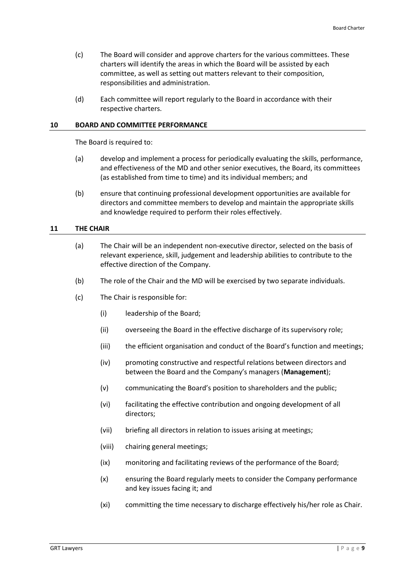- (c) The Board will consider and approve charters for the various committees. These charters will identify the areas in which the Board will be assisted by each committee, as well as setting out matters relevant to their composition, responsibilities and administration.
- (d) Each committee will report regularly to the Board in accordance with their respective charters.

#### <span id="page-8-0"></span>**10 BOARD AND COMMITTEE PERFORMANCE**

The Board is required to:

- (a) develop and implement a process for periodically evaluating the skills, performance, and effectiveness of the MD and other senior executives, the Board, its committees (as established from time to time) and its individual members; and
- (b) ensure that continuing professional development opportunities are available for directors and committee members to develop and maintain the appropriate skills and knowledge required to perform their roles effectively.

## <span id="page-8-1"></span>**11 THE CHAIR**

- (a) The Chair will be an independent non-executive director, selected on the basis of relevant experience, skill, judgement and leadership abilities to contribute to the effective direction of the Company.
- (b) The role of the Chair and the MD will be exercised by two separate individuals.
- (c) The Chair is responsible for:
	- (i) leadership of the Board;
	- (ii) overseeing the Board in the effective discharge of its supervisory role;
	- (iii) the efficient organisation and conduct of the Board's function and meetings;
	- (iv) promoting constructive and respectful relations between directors and between the Board and the Company's managers (**Management**);
	- (v) communicating the Board's position to shareholders and the public;
	- (vi) facilitating the effective contribution and ongoing development of all directors;
	- (vii) briefing all directors in relation to issues arising at meetings;
	- (viii) chairing general meetings;
	- (ix) monitoring and facilitating reviews of the performance of the Board;
	- (x) ensuring the Board regularly meets to consider the Company performance and key issues facing it; and
	- (xi) committing the time necessary to discharge effectively his/her role as Chair.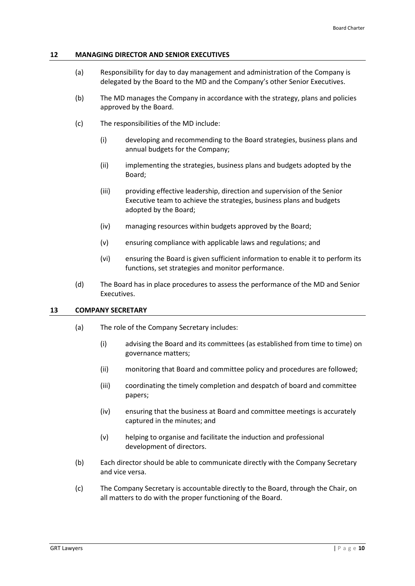#### <span id="page-9-0"></span>**12 MANAGING DIRECTOR AND SENIOR EXECUTIVES**

- (a) Responsibility for day to day management and administration of the Company is delegated by the Board to the MD and the Company's other Senior Executives.
- (b) The MD manages the Company in accordance with the strategy, plans and policies approved by the Board.
- (c) The responsibilities of the MD include:
	- (i) developing and recommending to the Board strategies, business plans and annual budgets for the Company;
	- (ii) implementing the strategies, business plans and budgets adopted by the Board;
	- (iii) providing effective leadership, direction and supervision of the Senior Executive team to achieve the strategies, business plans and budgets adopted by the Board;
	- (iv) managing resources within budgets approved by the Board;
	- (v) ensuring compliance with applicable laws and regulations; and
	- (vi) ensuring the Board is given sufficient information to enable it to perform its functions, set strategies and monitor performance.
- (d) The Board has in place procedures to assess the performance of the MD and Senior Executives.

#### <span id="page-9-1"></span>**13 COMPANY SECRETARY**

- (a) The role of the Company Secretary includes:
	- (i) advising the Board and its committees (as established from time to time) on governance matters;
	- (ii) monitoring that Board and committee policy and procedures are followed;
	- (iii) coordinating the timely completion and despatch of board and committee papers;
	- (iv) ensuring that the business at Board and committee meetings is accurately captured in the minutes; and
	- (v) helping to organise and facilitate the induction and professional development of directors.
- (b) Each director should be able to communicate directly with the Company Secretary and vice versa.
- (c) The Company Secretary is accountable directly to the Board, through the Chair, on all matters to do with the proper functioning of the Board.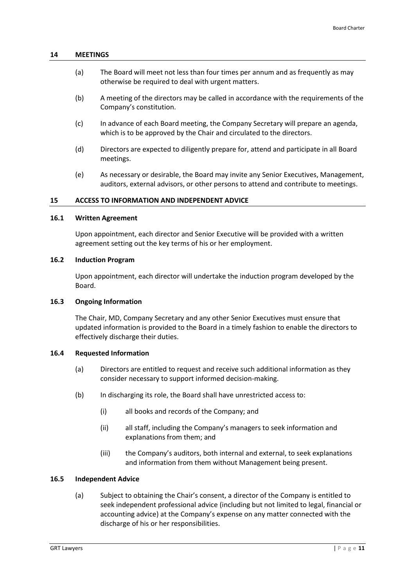#### <span id="page-10-0"></span>**14 MEETINGS**

- (a) The Board will meet not less than four times per annum and as frequently as may otherwise be required to deal with urgent matters.
- (b) A meeting of the directors may be called in accordance with the requirements of the Company's constitution.
- (c) In advance of each Board meeting, the Company Secretary will prepare an agenda, which is to be approved by the Chair and circulated to the directors.
- (d) Directors are expected to diligently prepare for, attend and participate in all Board meetings.
- (e) As necessary or desirable, the Board may invite any Senior Executives, Management, auditors, external advisors, or other persons to attend and contribute to meetings.

#### <span id="page-10-1"></span>**15 ACCESS TO INFORMATION AND INDEPENDENT ADVICE**

# **16.1 Written Agreement**

Upon appointment, each director and Senior Executive will be provided with a written agreement setting out the key terms of his or her employment.

#### **16.2 Induction Program**

Upon appointment, each director will undertake the induction program developed by the Board.

# **16.3 Ongoing Information**

The Chair, MD, Company Secretary and any other Senior Executives must ensure that updated information is provided to the Board in a timely fashion to enable the directors to effectively discharge their duties.

#### **16.4 Requested Information**

- (a) Directors are entitled to request and receive such additional information as they consider necessary to support informed decision-making.
- (b) In discharging its role, the Board shall have unrestricted access to:
	- (i) all books and records of the Company; and
	- (ii) all staff, including the Company's managers to seek information and explanations from them; and
	- (iii) the Company's auditors, both internal and external, to seek explanations and information from them without Management being present.

#### **16.5 Independent Advice**

(a) Subject to obtaining the Chair's consent, a director of the Company is entitled to seek independent professional advice (including but not limited to legal, financial or accounting advice) at the Company's expense on any matter connected with the discharge of his or her responsibilities.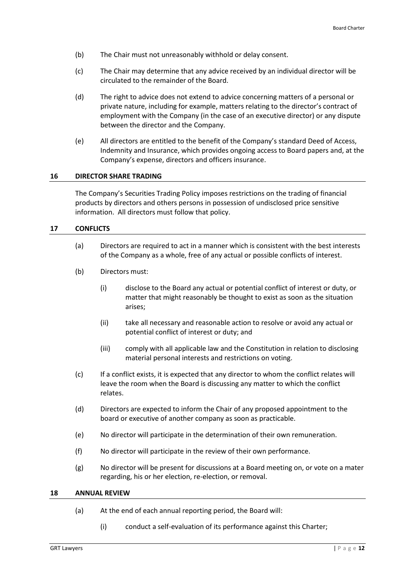- (b) The Chair must not unreasonably withhold or delay consent.
- (c) The Chair may determine that any advice received by an individual director will be circulated to the remainder of the Board.
- (d) The right to advice does not extend to advice concerning matters of a personal or private nature, including for example, matters relating to the director's contract of employment with the Company (in the case of an executive director) or any dispute between the director and the Company.
- (e) All directors are entitled to the benefit of the Company's standard Deed of Access, Indemnity and Insurance, which provides ongoing access to Board papers and, at the Company's expense, directors and officers insurance.

## <span id="page-11-0"></span>**16 DIRECTOR SHARE TRADING**

The Company's Securities Trading Policy imposes restrictions on the trading of financial products by directors and others persons in possession of undisclosed price sensitive information. All directors must follow that policy.

#### <span id="page-11-1"></span>**17 CONFLICTS**

- (a) Directors are required to act in a manner which is consistent with the best interests of the Company as a whole, free of any actual or possible conflicts of interest.
- (b) Directors must:
	- (i) disclose to the Board any actual or potential conflict of interest or duty, or matter that might reasonably be thought to exist as soon as the situation arises;
	- (ii) take all necessary and reasonable action to resolve or avoid any actual or potential conflict of interest or duty; and
	- (iii) comply with all applicable law and the Constitution in relation to disclosing material personal interests and restrictions on voting.
- (c) If a conflict exists, it is expected that any director to whom the conflict relates will leave the room when the Board is discussing any matter to which the conflict relates.
- (d) Directors are expected to inform the Chair of any proposed appointment to the board or executive of another company as soon as practicable.
- (e) No director will participate in the determination of their own remuneration.
- (f) No director will participate in the review of their own performance.
- (g) No director will be present for discussions at a Board meeting on, or vote on a mater regarding, his or her election, re-election, or removal.

#### <span id="page-11-2"></span>**18 ANNUAL REVIEW**

- (a) At the end of each annual reporting period, the Board will:
	- (i) conduct a self-evaluation of its performance against this Charter;